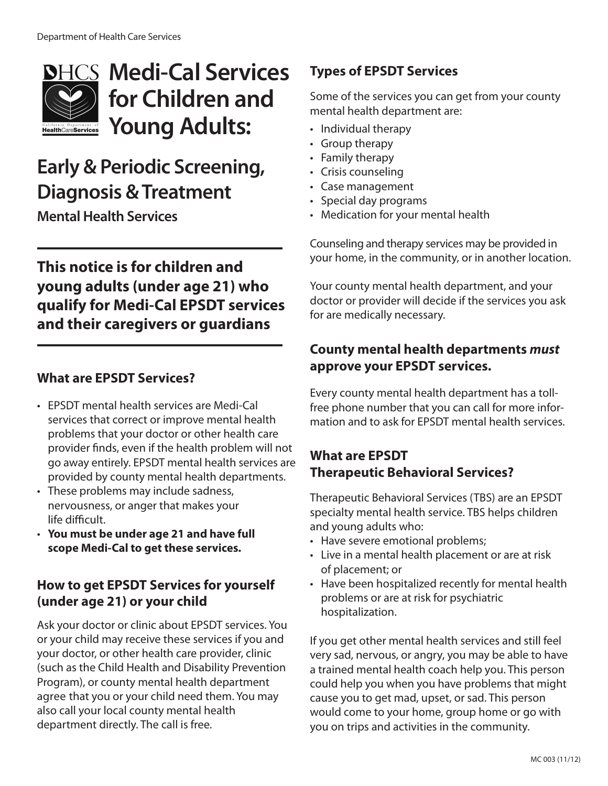

# **Medi-Cal Services for Children and Young Adults:**

## **Early & Periodic Screening, Diagnosis & Treatment**

**Mental Health Services**

## **This notice is for children and young adults (under age 21) who qualify for Medi-Cal EPSDT services and their caregivers or guardians**

#### **What are EPSDT Services?**

- • EPSDT mental health services are Medi-Cal services that correct or improve mental health problems that your doctor or other health care provider finds, even if the health problem will not go away entirely. EPSDT mental health services are provided by county mental health departments.
- These problems may include sadness, nervousness, or anger that makes your life difficult.
- • **You must be under age 21 and have full scope Medi-Cal to get these services.**

#### **How to get EPSDT Services for yourself (under age 21) or your child**

Ask your doctor or clinic about EPSDT services. You or your child may receive these services if you and your doctor, or other health care provider, clinic (such as the Child Health and Disability Prevention Program), or county mental health department agree that you or your child need them. You may also call your local county mental health department directly. The call is free.

## **Types of EPSDT Services**

Some of the services you can get from your county mental health department are:

- Individual therapy
- Group therapy
- Family therapy
- • Crisis counseling
- • Case management
- • Special day programs
- Medication for your mental health

Counseling and therapy services may be provided in your home, in the community, or in another location.

Your county mental health department, and your doctor or provider will decide if the services you ask for are medically necessary.

### **County mental health departments** *must*  **approve your EPSDT services.**

Every county mental health department has a tollfree phone number that you can call for more information and to ask for EPSDT mental health services.

#### **What are EPSDT Therapeutic Behavioral Services?**

Therapeutic Behavioral Services (TBS) are an EPSDT specialty mental health service. TBS helps children and young adults who:

- Have severe emotional problems;
- Live in a mental health placement or are at risk of placement; or
- Have been hospitalized recently for mental health problems or are at risk for psychiatric hospitalization.

If you get other mental health services and still feel very sad, nervous, or angry, you may be able to have a trained mental health coach help you. This person could help you when you have problems that might cause you to get mad, upset, or sad. This person would come to your home, group home or go with you on trips and activities in the community.